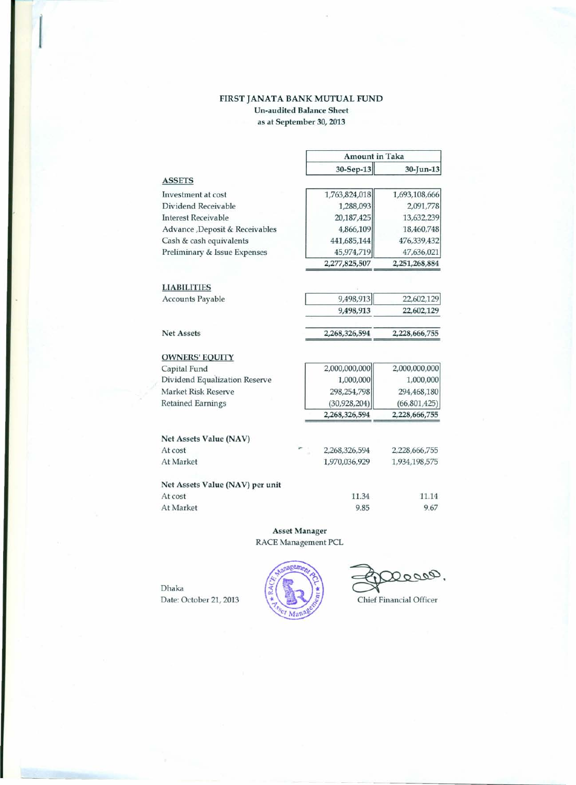## FIRST JANATA BANK MUTUAL FUND Un-audited Balance Sheet as at September 30, 2013

|                                 |                | <b>Amount in Taka</b> |  |
|---------------------------------|----------------|-----------------------|--|
|                                 | 30-Sep-13      | 30-Jun-13             |  |
| <b>ASSETS</b>                   |                |                       |  |
| Investment at cost              | 1,763,824,018  | 1,693,108,666         |  |
| Dividend Receivable             | 1,288,093      | 2,091,778             |  |
| <b>Interest Receivable</b>      | 20,187,425     | 13,632,239            |  |
| Advance , Deposit & Receivables | 4,866,109      | 18,460,748            |  |
| Cash & cash equivalents         | 441,685,144    | 476,339,432           |  |
| Preliminary & Issue Expenses    | 45,974,719     | 47,636,021            |  |
|                                 | 2,277,825,507  | 2,251,268,884         |  |
| <b>LIABILITIES</b>              |                |                       |  |
| <b>Accounts Payable</b>         | 9,498,913      | 22,602,129            |  |
|                                 | 9,498,913      | 22,602,129            |  |
| <b>Net Assets</b>               | 2,268,326,594  | 2,228,666,755         |  |
| <b>OWNERS' EQUITY</b>           |                |                       |  |
| Capital Fund                    | 2,000,000,000  | 2,000,000,000         |  |
| Dividend Equalization Reserve   | 1,000,000      | 1,000,000             |  |
| Market Risk Reserve             | 298,254,798    | 294,468,180           |  |
| <b>Retained Earnings</b>        | (30, 928, 204) | (66, 801, 425)        |  |
|                                 | 2,268,326,594  | 2,228,666,755         |  |
| Net Assets Value (NAV)          |                |                       |  |
| At cost                         | 2,268,326,594  | 2,228,666,755         |  |
| At Market                       | 1,970,036,929  | 1,934,198,575         |  |
| Net Assets Value (NAV) per unit |                |                       |  |
| At cost                         | 11.34          | 11.14                 |  |
| At Market                       | 9.85           | 9.67                  |  |

Asset Manager RACE Management PCL

Dhaka Date: October 21, 2013  $\begin{matrix} \star \\ \star \end{matrix}$   $\begin{matrix} \star \\ \star \end{matrix}$  Chief Financial Officer

Deces.